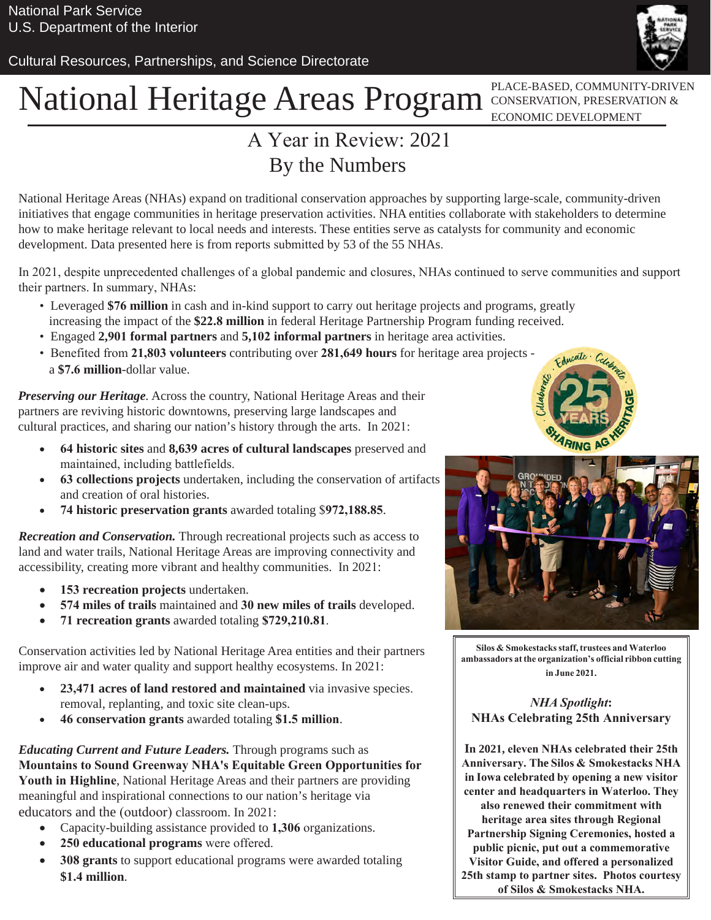Cultural Resources, Partnerships, and Science Directorate

# National Heritage Areas Program CONSERVATION, PRESERVATION &

ECONOMIC DEVELOPMENT

### A Year in Review: 2021 By the Numbers

National Heritage Areas (NHAs) expand on traditional conservation approaches by supporting large-scale, community-driven initiatives that engage communities in heritage preservation activities. NHA entities collaborate with stakeholders to determine how to make heritage relevant to local needs and interests. These entities serve as catalysts for community and economic development. Data presented here is from reports submitted by 53 of the 55 NHAs.

In 2021, despite unprecedented challenges of a global pandemic and closures, NHAs continued to serve communities and support their partners. In summary, NHAs:

- Leveraged **\$76 million** in cash and in-kind support to carry out heritage projects and programs, greatly increasing the impact of the **\$22.8 million** in federal Heritage Partnership Program funding received.
- Engaged **2,901 formal partners** and **5,102 informal partners** in heritage area activities.
- Benefited from **21,803 volunteers** contributing over **281,649 hours** for heritage area projects a **\$7.6 million**-dollar value.

*Preserving our Heritage.* Across the country, National Heritage Areas and their partners are reviving historic downtowns, preserving large landscapes and cultural practices, and sharing our nation's history through the arts. In 2021:

- **64 historic sites** and **8,639 acres of cultural landscapes** preserved and maintained, including battlefields.
- **63 collections projects** undertaken, including the conservation of artifacts and creation of oral histories.
- **74 historic preservation grants** awarded totaling \$**[972,188.85](https://972,188.85)**.

*Recreation and Conservation.* Through recreational projects such as access to land and water trails, National Heritage Areas are improving connectivity and accessibility, creating more vibrant and healthy communities. In 2021:

- **153 recreation projects** undertaken.
- **574 miles of trails** maintained and **30 new miles of trails** developed.
- **71 recreation grants** awarded totaling **[\\$729,210.81](https://729,210.81)**.

Conservation activities led by National Heritage Area entities and their partners improve air and water quality and support healthy ecosystems. In 2021:

- **23,471 acres of land restored and maintained** via invasive species. removal, replanting, and toxic site clean-ups.
- **46 conservation grants** awarded totaling **\$1.5 million**.

*Educating Current and Future Leaders.* Through programs such as **Mountains to Sound Greenway NHA's Equitable Green Opportunities for Youth in Highline**, National Heritage Areas and their partners are providing meaningful and inspirational connections to our nation's heritage via educators and the (outdoor) classroom. In 2021:

- Capacity-building assistance provided to **1,306** organizations.
- **250 educational programs** were offered.
- **308 grants** to support educational programs were awarded totaling **\$1.4 million**.





**Silos & Smokestacks staff, trustees and Waterloo ambassadors at the organization's official ribbon cutting in June 2021.** 

*NHA Spotlight***: NHAs Celebrating 25th Anniversary**

**In 2021, eleven NHAs celebrated their 25th Anniversary. The Silos & Smokestacks NHA in Iowa celebrated by opening a new visitor center and headquarters in Waterloo. They also renewed their commitment with heritage area sites through Regional Partnership Signing Ceremonies, hosted a public picnic, put out a commemorative Visitor Guide, and offered a personalized 25th stamp to partner sites. Photos courtesy of Silos & Smokestacks NHA.**

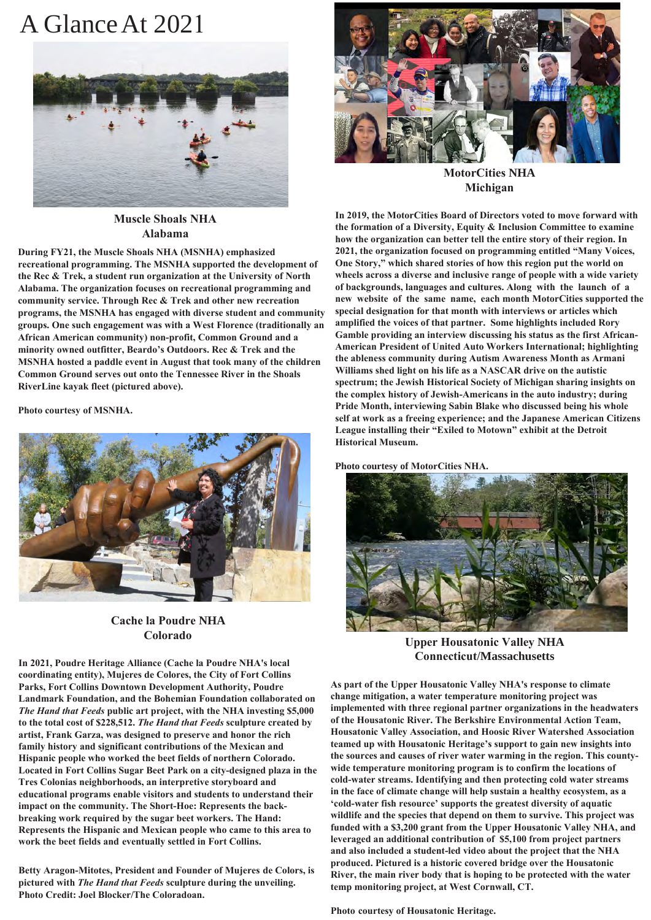### A Glance At 202 1



**Muscle Shoals NHA Alabama**

**During FY21, the Muscle Shoals NHA (MSNHA) emphasized recreational programming. The MSNHA supported the development of the Rec & Trek, a student run organization at the University of North Alabama. The organization focuses on recreational programming and community service. Through Rec & Trek and other new recreation programs, the MSNHA has engaged with diverse student and community groups. One such engagement was with a West Florence (traditionally an African American community) non-profit, Common Ground and a minority owned outfitter, Beardo's Outdoors. Rec & Trek and the MSNHA hosted a paddle event in August that took many of the children Common Ground serves out onto the Tennessee River in the Shoals RiverLine kayak fleet (pictured above).**

**Photo courtesy of MSNHA.**



#### **Cache la Poudre NHA Colorado**

**In 2021, Poudre Heritage Alliance (Cache la Poudre NHA's local coordinating entity), Mujeres de Colores, the City of Fort Collins Parks, Fort Collins Downtown Development Authority, Poudre Landmark Foundation, and the Bohemian Foundation collaborated on**  *The Hand that Feeds* **public art project, with the NHA investing \$5,000 to the total cost of \$228,512.** *The Hand that Feeds* **sculpture created by artist, Frank Garza, was designed to preserve and honor the rich family history and significant contributions of the Mexican and Hispanic people who worked the beet fields of northern Colorado. Located in Fort Collins Sugar Beet Park on a city-designed plaza in the Tres Colonias neighborhoods, an interpretive storyboard and educational programs enable visitors and students to understand their impact on the community. The Short-Hoe: Represents the backbreaking work required by the sugar beet workers. The Hand: Represents the Hispanic and Mexican people who came to this area to work the beet fields and eventually settled in Fort Collins.**

**Betty Aragon-Mitotes, President and Founder of Mujeres de Colors, is pictured with** *The Hand that Feeds* **sculpture during the unveiling. Photo Credit: Joel Blocker/The Coloradoan.**



**MotorCities NHA Michigan**

**In 2019, the MotorCities Board of Directors voted to move forward with the formation of a Diversity, Equity & Inclusion Committee to examine how the organization can better tell the entire story of their region. In 2021, the organization focused on programming entitled "Many Voices, One Story," which shared stories of how this region put the world on wheels across a diverse and inclusive range of people with a wide variety of backgrounds, languages and cultures. Along with the launch of a new website of the same name, each month MotorCities supported the special designation for that month with interviews or articles which amplified the voices of that partner. Some highlights included Rory Gamble providing an interview discussing his status as the first African-American President of United Auto Workers International; highlighting the ableness community during Autism Awareness Month as Armani Williams shed light on his life as a NASCAR drive on the autistic spectrum; the Jewish Historical Society of Michigan sharing insights on the complex history of Jewish-Americans in the auto industry; during Pride Month, interviewing Sabin Blake who discussed being his whole self at work as a freeing experience; and the Japanese American Citizens League installing their "Exiled to Motown" exhibit at the Detroit Historical Museum.**

**Photo courtesy of MotorCities NHA.** 



**Upper Housatonic Valley NHA Connecticut/Massachusetts** 

**As part of the Upper Housatonic Valley NHA's response to climate change mitigation, a water temperature monitoring project was implemented with three regional partner organizations in the headwaters of the Housatonic River. The Berkshire Environmental Action Team, Housatonic Valley Association, and Hoosic River Watershed Association teamed up with Housatonic Heritage's support to gain new insights into the sources and causes of river water warming in the region. This countywide temperature monitoring program is to confirm the locations of cold-water streams. Identifying and then protecting cold water streams in the face of climate change will help sustain a healthy ecosystem, as a 'cold-water fish resource' supports the greatest diversity of aquatic wildlife and the species that depend on them to survive. This project was funded with a \$3,200 grant from the Upper Housatonic Valley NHA, and leveraged an additional contribution of \$5,100 from project partners and also included a student-led video about the project that the NHA produced. Pictured is a historic covered bridge over the Housatonic River, the main river body that is hoping to be protected with the water temp monitoring project, at West Cornwall, CT.**

**Photo courtesy of Housatonic Heritage.**